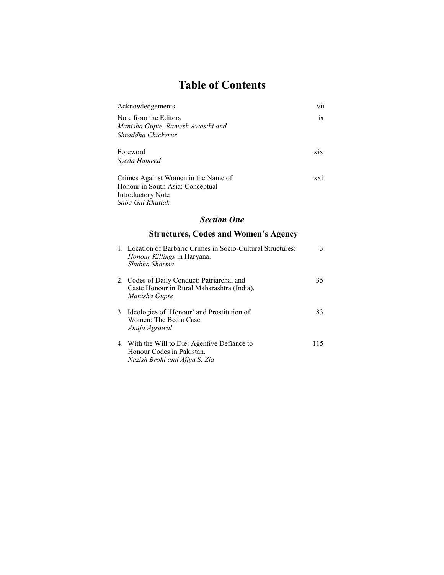# Table of Contents

| Acknowledgements                                                                                                        | vii |
|-------------------------------------------------------------------------------------------------------------------------|-----|
| Note from the Editors<br>Manisha Gupte, Ramesh Awasthi and<br>Shraddha Chickerur                                        | ix  |
| Foreword<br>Syeda Hameed                                                                                                | xix |
| Crimes Against Women in the Name of<br>Honour in South Asia: Conceptual<br><b>Introductory Note</b><br>Saba Gul Khattak | XX1 |
| <b>Section One</b>                                                                                                      |     |
| <b>Structures, Codes and Women's Agency</b>                                                                             |     |
| 1. Location of Barbaric Crimes in Socio-Cultural Structures:<br><i>Honour Killings</i> in Haryana.<br>Shubha Sharma     | 3   |
| 2. Codes of Daily Conduct: Patriarchal and                                                                              | 35  |

| Manisha Gupte                                                                            |    |
|------------------------------------------------------------------------------------------|----|
| 3. Ideologies of 'Honour' and Prostitution of<br>Women: The Bedia Case.<br>Anuja Agrawal | 83 |
| 4. With the Will to Die: Agentive Defiance to                                            |    |

Caste Honour in Rural Maharashtra (India).

Honour Codes in Pakistan. Nazish Brohi and Afiya S. Zia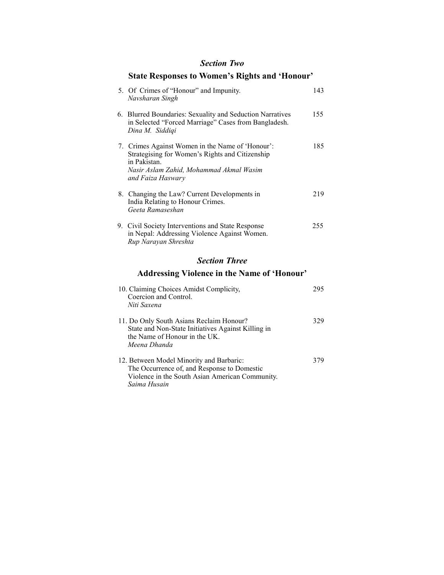#### Section Two

### State Responses to Women's Rights and 'Honour'

| <b>Section Three</b> |                                                                                                                                                                                     |     |  |  |
|----------------------|-------------------------------------------------------------------------------------------------------------------------------------------------------------------------------------|-----|--|--|
|                      | 9. Civil Society Interventions and State Response<br>in Nepal: Addressing Violence Against Women.<br>Rup Narayan Shreshta                                                           | 255 |  |  |
|                      | 8. Changing the Law? Current Developments in<br>India Relating to Honour Crimes.<br>Geeta Ramaseshan                                                                                | 219 |  |  |
|                      | 7. Crimes Against Women in the Name of 'Honour':<br>Strategising for Women's Rights and Citizenship<br>in Pakistan.<br>Nasir Aslam Zahid, Mohammad Akmal Wasim<br>and Faiza Haswary | 185 |  |  |
|                      | 6. Blurred Boundaries: Sexuality and Seduction Narratives<br>in Selected "Forced Marriage" Cases from Bangladesh.<br>Dina M. Siddiqi                                                | 155 |  |  |
|                      | 5. Of Crimes of "Honour" and Impunity.<br>Navsharan Singh                                                                                                                           | 143 |  |  |

## Addressing Violence in the Name of 'Honour'

| 10. Claiming Choices Amidst Complicity,<br>Coercion and Control.<br>Niti Saxena                                                                            |     |
|------------------------------------------------------------------------------------------------------------------------------------------------------------|-----|
| 11. Do Only South Asians Reclaim Honour?<br>State and Non-State Initiatives Against Killing in<br>the Name of Honour in the UK.<br>Meena Dhanda            | 329 |
| 12. Between Model Minority and Barbaric:<br>The Occurrence of, and Response to Domestic<br>Violence in the South Asian American Community.<br>Saima Husain | 379 |